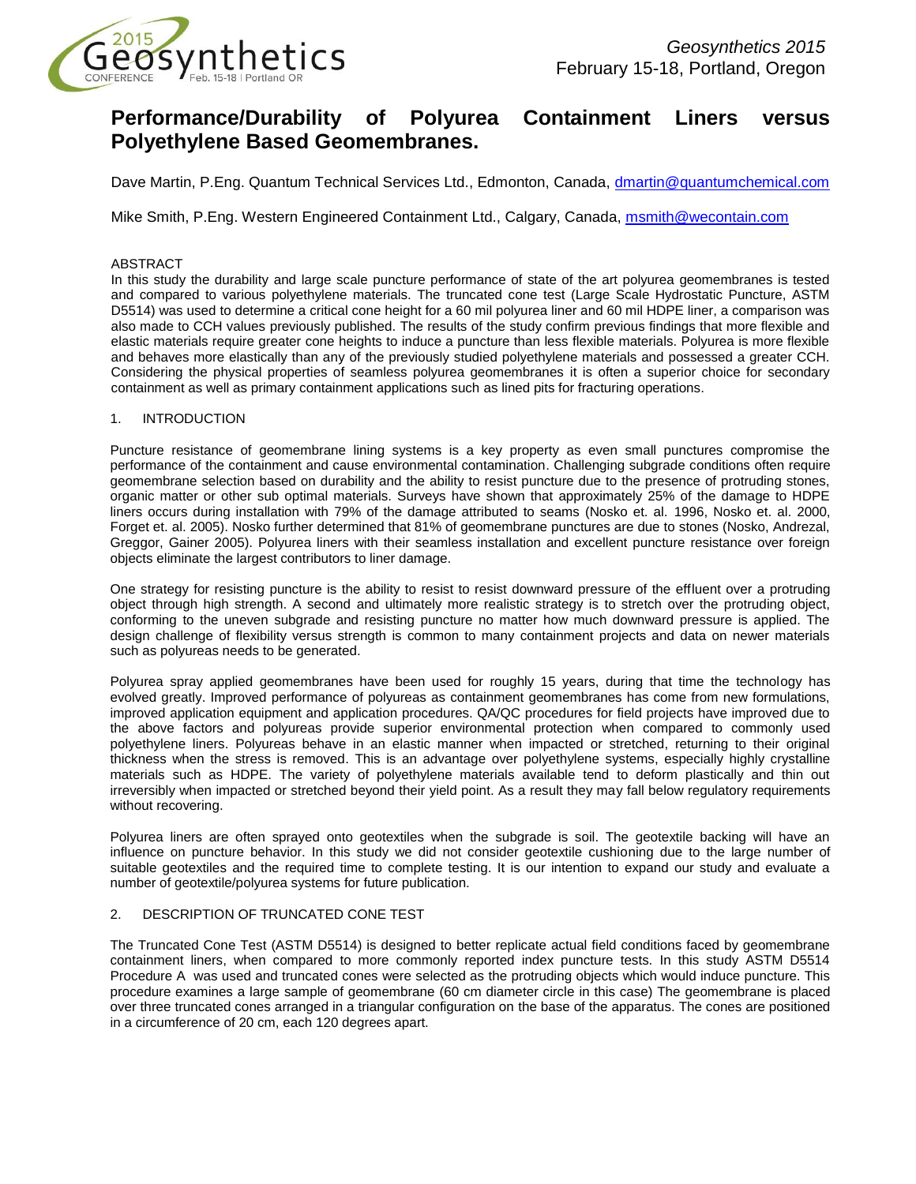

# **Performance/Durability of Polyurea Containment Liners versus Polyethylene Based Geomembranes.**

Dave Martin, P.Eng. Quantum Technical Services Ltd., Edmonton, Canada, [dmartin@quantumchemical.com](mailto:dmartin@quantumchemical.com)

Mike Smith, P.Eng. Western Engineered Containment Ltd., Calgary, Canada, [msmith@wecontain.com](mailto:msmith@wecontain.com)

#### ABSTRACT

In this study the durability and large scale puncture performance of state of the art polyurea geomembranes is tested and compared to various polyethylene materials. The truncated cone test (Large Scale Hydrostatic Puncture, ASTM D5514) was used to determine a critical cone height for a 60 mil polyurea liner and 60 mil HDPE liner, a comparison was also made to CCH values previously published. The results of the study confirm previous findings that more flexible and elastic materials require greater cone heights to induce a puncture than less flexible materials. Polyurea is more flexible and behaves more elastically than any of the previously studied polyethylene materials and possessed a greater CCH. Considering the physical properties of seamless polyurea geomembranes it is often a superior choice for secondary containment as well as primary containment applications such as lined pits for fracturing operations.

### 1. INTRODUCTION

Puncture resistance of geomembrane lining systems is a key property as even small punctures compromise the performance of the containment and cause environmental contamination. Challenging subgrade conditions often require geomembrane selection based on durability and the ability to resist puncture due to the presence of protruding stones, organic matter or other sub optimal materials. Surveys have shown that approximately 25% of the damage to HDPE liners occurs during installation with 79% of the damage attributed to seams (Nosko et. al. 1996, Nosko et. al. 2000, Forget et. al. 2005). Nosko further determined that 81% of geomembrane punctures are due to stones (Nosko, Andrezal, Greggor, Gainer 2005). Polyurea liners with their seamless installation and excellent puncture resistance over foreign objects eliminate the largest contributors to liner damage.

One strategy for resisting puncture is the ability to resist to resist downward pressure of the effluent over a protruding object through high strength. A second and ultimately more realistic strategy is to stretch over the protruding object, conforming to the uneven subgrade and resisting puncture no matter how much downward pressure is applied. The design challenge of flexibility versus strength is common to many containment projects and data on newer materials such as polyureas needs to be generated.

Polyurea spray applied geomembranes have been used for roughly 15 years, during that time the technology has evolved greatly. Improved performance of polyureas as containment geomembranes has come from new formulations, improved application equipment and application procedures. QA/QC procedures for field projects have improved due to the above factors and polyureas provide superior environmental protection when compared to commonly used polyethylene liners. Polyureas behave in an elastic manner when impacted or stretched, returning to their original thickness when the stress is removed. This is an advantage over polyethylene systems, especially highly crystalline materials such as HDPE. The variety of polyethylene materials available tend to deform plastically and thin out irreversibly when impacted or stretched beyond their yield point. As a result they may fall below regulatory requirements without recovering.

Polyurea liners are often sprayed onto geotextiles when the subgrade is soil. The geotextile backing will have an influence on puncture behavior. In this study we did not consider geotextile cushioning due to the large number of suitable geotextiles and the required time to complete testing. It is our intention to expand our study and evaluate a number of geotextile/polyurea systems for future publication.

### 2. DESCRIPTION OF TRUNCATED CONE TEST

The Truncated Cone Test (ASTM D5514) is designed to better replicate actual field conditions faced by geomembrane containment liners, when compared to more commonly reported index puncture tests. In this study ASTM D5514 Procedure A was used and truncated cones were selected as the protruding objects which would induce puncture. This procedure examines a large sample of geomembrane (60 cm diameter circle in this case) The geomembrane is placed over three truncated cones arranged in a triangular configuration on the base of the apparatus. The cones are positioned in a circumference of 20 cm, each 120 degrees apart.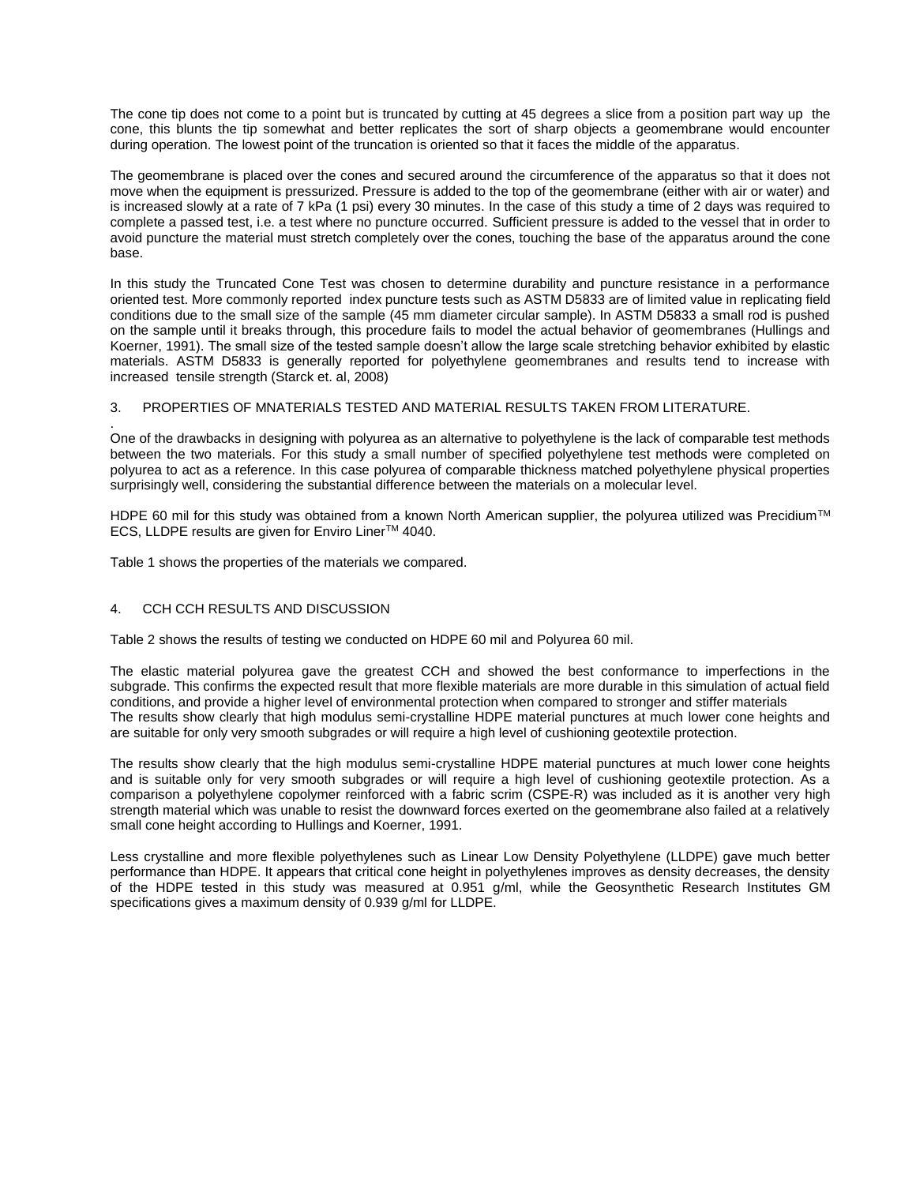The cone tip does not come to a point but is truncated by cutting at 45 degrees a slice from a position part way up the cone, this blunts the tip somewhat and better replicates the sort of sharp objects a geomembrane would encounter during operation. The lowest point of the truncation is oriented so that it faces the middle of the apparatus.

The geomembrane is placed over the cones and secured around the circumference of the apparatus so that it does not move when the equipment is pressurized. Pressure is added to the top of the geomembrane (either with air or water) and is increased slowly at a rate of 7 kPa (1 psi) every 30 minutes. In the case of this study a time of 2 days was required to complete a passed test, i.e. a test where no puncture occurred. Sufficient pressure is added to the vessel that in order to avoid puncture the material must stretch completely over the cones, touching the base of the apparatus around the cone base.

In this study the Truncated Cone Test was chosen to determine durability and puncture resistance in a performance oriented test. More commonly reported index puncture tests such as ASTM D5833 are of limited value in replicating field conditions due to the small size of the sample (45 mm diameter circular sample). In ASTM D5833 a small rod is pushed on the sample until it breaks through, this procedure fails to model the actual behavior of geomembranes (Hullings and Koerner, 1991). The small size of the tested sample doesn't allow the large scale stretching behavior exhibited by elastic materials. ASTM D5833 is generally reported for polyethylene geomembranes and results tend to increase with increased tensile strength (Starck et. al, 2008)

## 3. PROPERTIES OF MNATERIALS TESTED AND MATERIAL RESULTS TAKEN FROM LITERATURE.

One of the drawbacks in designing with polyurea as an alternative to polyethylene is the lack of comparable test methods between the two materials. For this study a small number of specified polyethylene test methods were completed on polyurea to act as a reference. In this case polyurea of comparable thickness matched polyethylene physical properties surprisingly well, considering the substantial difference between the materials on a molecular level.

HDPE 60 mil for this study was obtained from a known North American supplier, the polyurea utilized was Precidium™ ECS, LLDPE results are given for Enviro LinerTM 4040.

Table 1 shows the properties of the materials we compared.

### 4. CCH CCH RESULTS AND DISCUSSION

.

Table 2 shows the results of testing we conducted on HDPE 60 mil and Polyurea 60 mil.

The elastic material polyurea gave the greatest CCH and showed the best conformance to imperfections in the subgrade. This confirms the expected result that more flexible materials are more durable in this simulation of actual field conditions, and provide a higher level of environmental protection when compared to stronger and stiffer materials The results show clearly that high modulus semi-crystalline HDPE material punctures at much lower cone heights and are suitable for only very smooth subgrades or will require a high level of cushioning geotextile protection.

The results show clearly that the high modulus semi-crystalline HDPE material punctures at much lower cone heights and is suitable only for very smooth subgrades or will require a high level of cushioning geotextile protection. As a comparison a polyethylene copolymer reinforced with a fabric scrim (CSPE-R) was included as it is another very high strength material which was unable to resist the downward forces exerted on the geomembrane also failed at a relatively small cone height according to Hullings and Koerner, 1991.

Less crystalline and more flexible polyethylenes such as Linear Low Density Polyethylene (LLDPE) gave much better performance than HDPE. It appears that critical cone height in polyethylenes improves as density decreases, the density of the HDPE tested in this study was measured at 0.951 g/ml, while the Geosynthetic Research Institutes GM specifications gives a maximum density of 0.939 g/ml for LLDPE.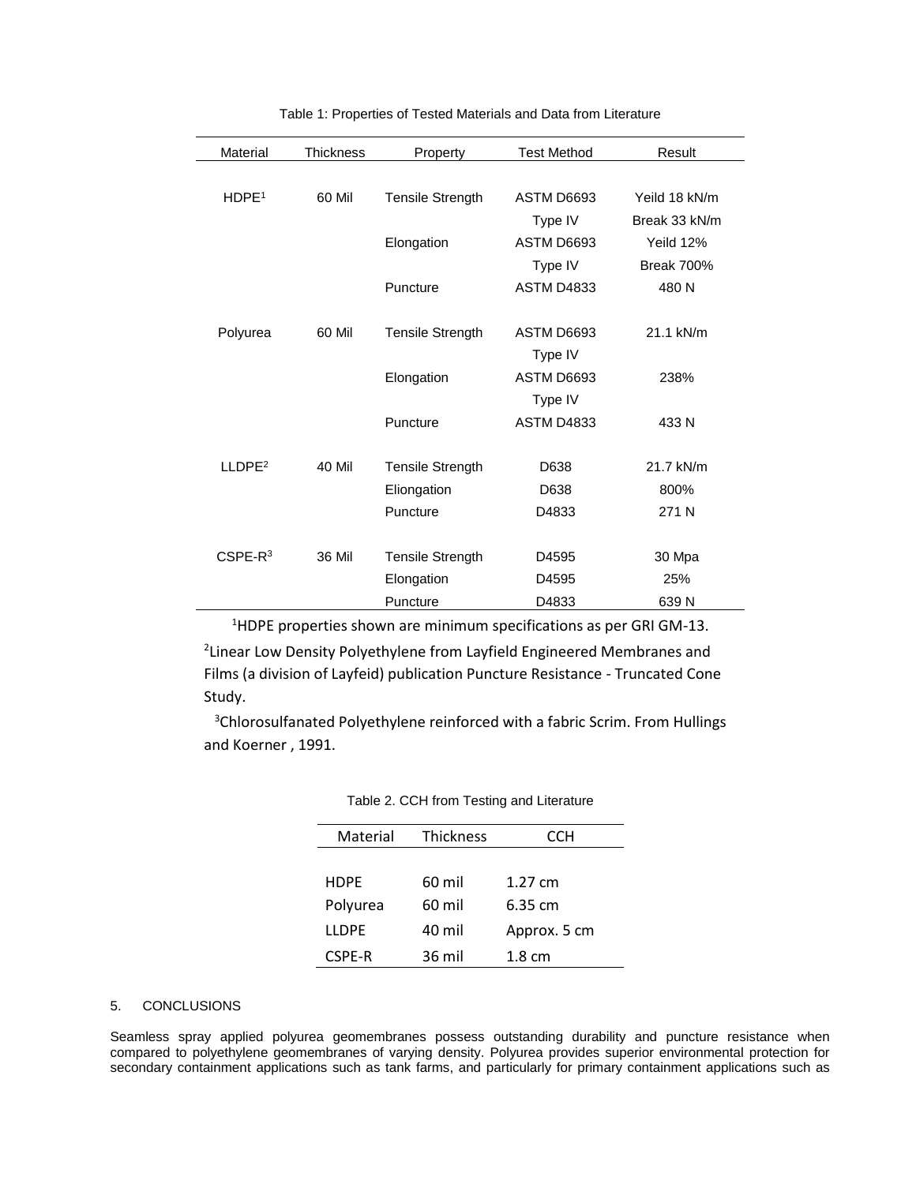| Material           | <b>Thickness</b> | Property                | <b>Test Method</b> | Result            |
|--------------------|------------------|-------------------------|--------------------|-------------------|
|                    |                  |                         |                    |                   |
| HDPE <sup>1</sup>  | 60 Mil           | Tensile Strength        | ASTM D6693         | Yeild 18 kN/m     |
|                    |                  |                         | Type IV            | Break 33 kN/m     |
|                    |                  | Elongation              | ASTM D6693         | Yeild 12%         |
|                    |                  |                         | Type IV            | <b>Break 700%</b> |
|                    |                  | Puncture                | <b>ASTM D4833</b>  | 480 N             |
|                    |                  |                         |                    |                   |
| Polyurea           | 60 Mil           | <b>Tensile Strength</b> | ASTM D6693         | 21.1 kN/m         |
|                    |                  |                         | Type IV            |                   |
|                    |                  | Elongation              | ASTM D6693         | 238%              |
|                    |                  |                         | Type IV            |                   |
|                    |                  | Puncture                | <b>ASTM D4833</b>  | 433 N             |
|                    |                  |                         |                    |                   |
| LLDPE <sup>2</sup> | 40 Mil           | <b>Tensile Strength</b> | D638               | 21.7 kN/m         |
|                    |                  | Eliongation             | D638               | 800%              |
|                    |                  | Puncture                | D4833              | 271 N             |
|                    |                  |                         |                    |                   |
| $CSPE-R3$          | <b>36 Mil</b>    | <b>Tensile Strength</b> | D4595              | 30 Mpa            |
|                    |                  | Elongation              | D4595              | 25%               |
|                    |                  | Puncture                | D4833              | 639 N             |

Table 1: Properties of Tested Materials and Data from Literature

<sup>1</sup>HDPE properties shown are minimum specifications as per GRI GM-13.

<sup>2</sup> Linear Low Density Polyethylene from Layfield Engineered Membranes and Films (a division of Layfeid) publication Puncture Resistance - Truncated Cone Study.

<sup>3</sup>Chlorosulfanated Polyethylene reinforced with a fabric Scrim. From Hullings and Koerner , 1991.

| Material     | <b>Thickness</b> | CCH               |  |
|--------------|------------------|-------------------|--|
|              |                  |                   |  |
| <b>HDPF</b>  | 60 mil           | 1.27 $cm$         |  |
| Polyurea     | 60 mil           | $6.35 \text{ cm}$ |  |
| <b>LLDPF</b> | 40 mil           | Approx. 5 cm      |  |
| CSPE-R       | 36 mil           | $1.8 \text{ cm}$  |  |
|              |                  |                   |  |

| Table 2. CCH from Testing and Literature |  |  |
|------------------------------------------|--|--|
|------------------------------------------|--|--|

### 5. CONCLUSIONS

L.

Seamless spray applied polyurea geomembranes possess outstanding durability and puncture resistance when compared to polyethylene geomembranes of varying density. Polyurea provides superior environmental protection for secondary containment applications such as tank farms, and particularly for primary containment applications such as